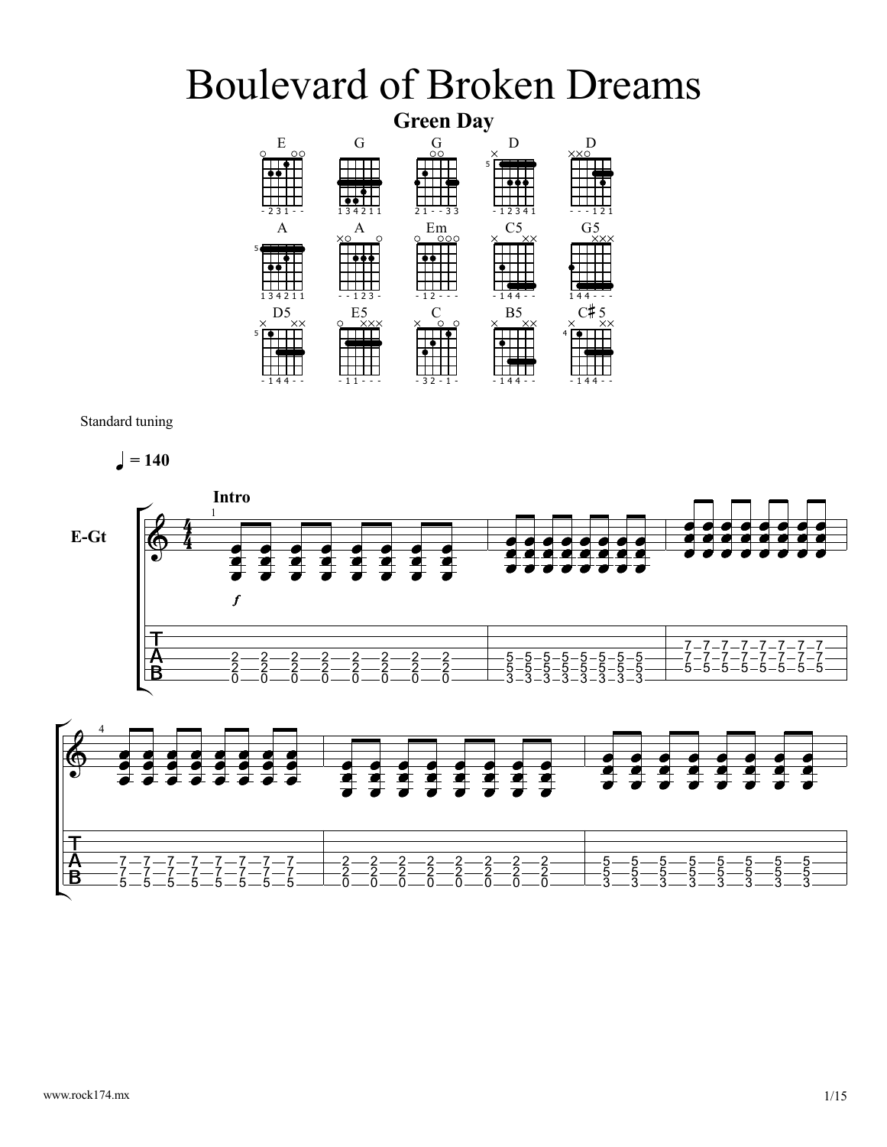## Boulevard of Broken Dreams



Standard tuning

$$
\bullet = 140
$$



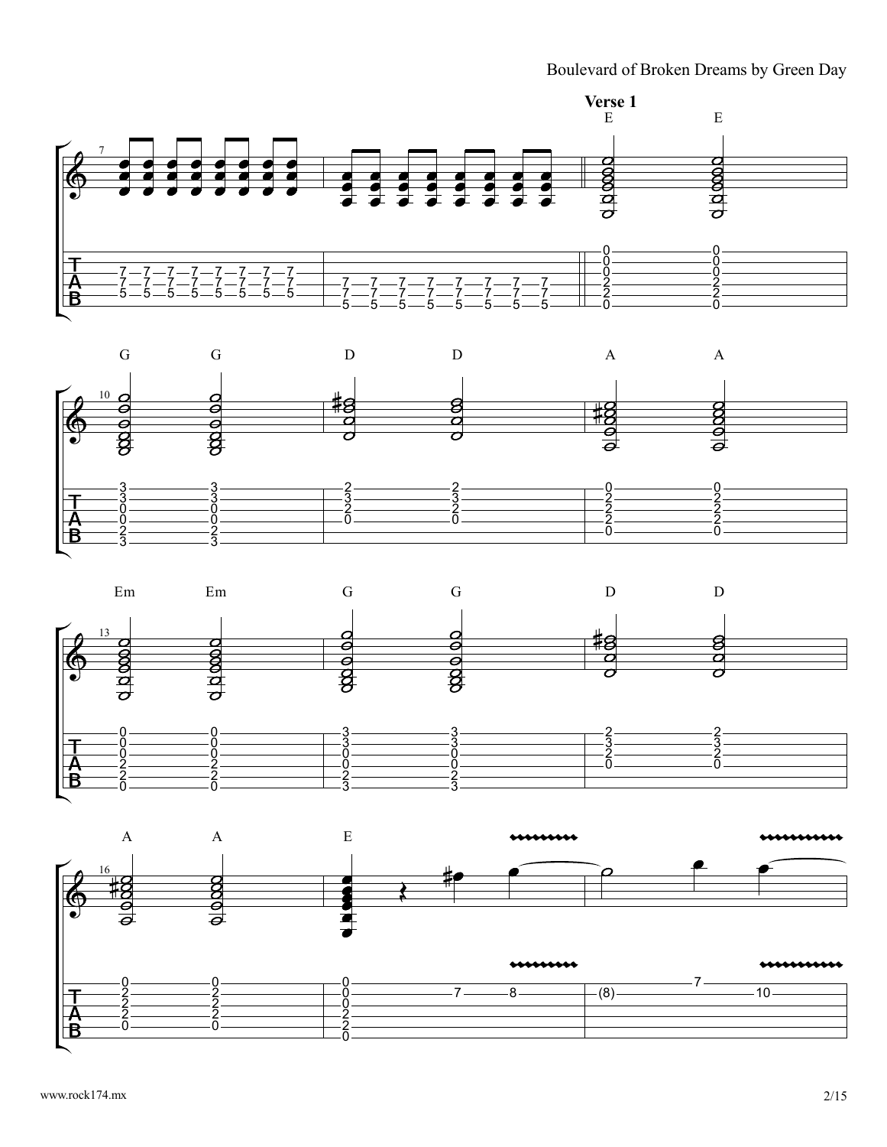





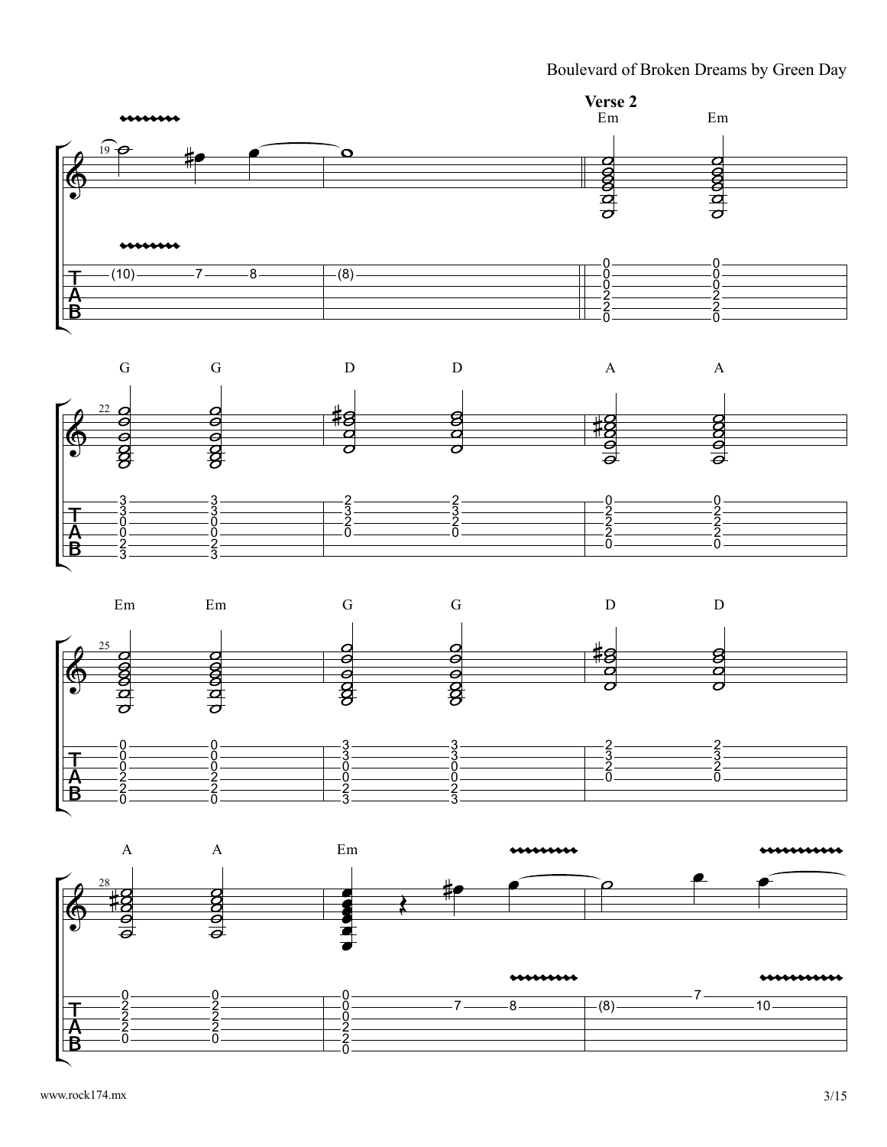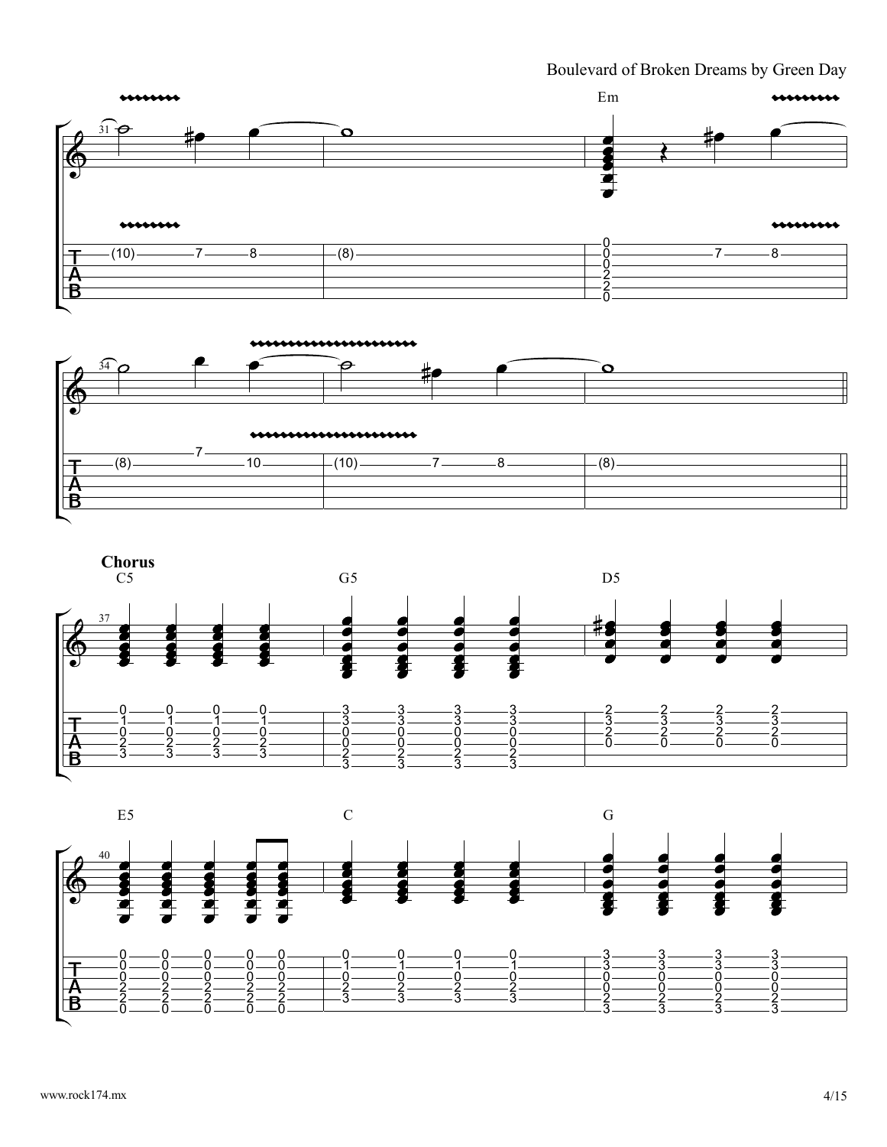







www.rock174.mx 4/15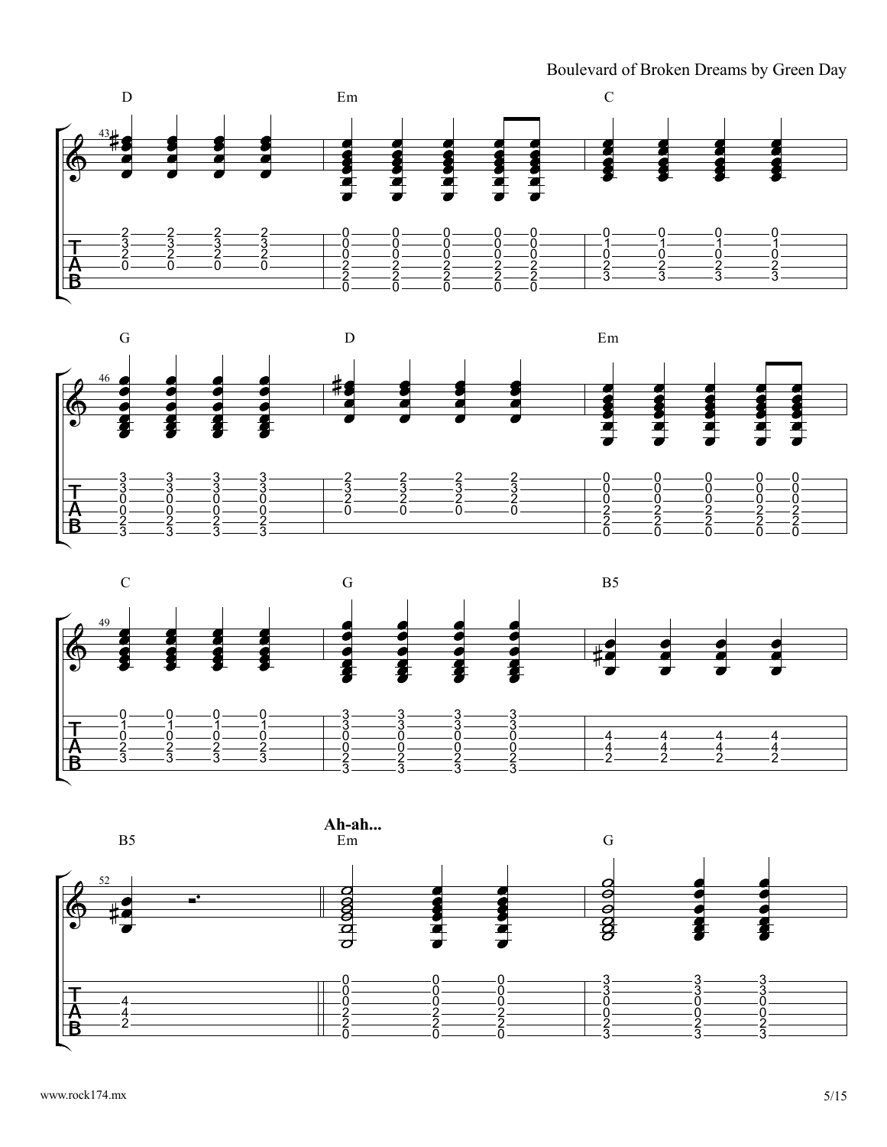





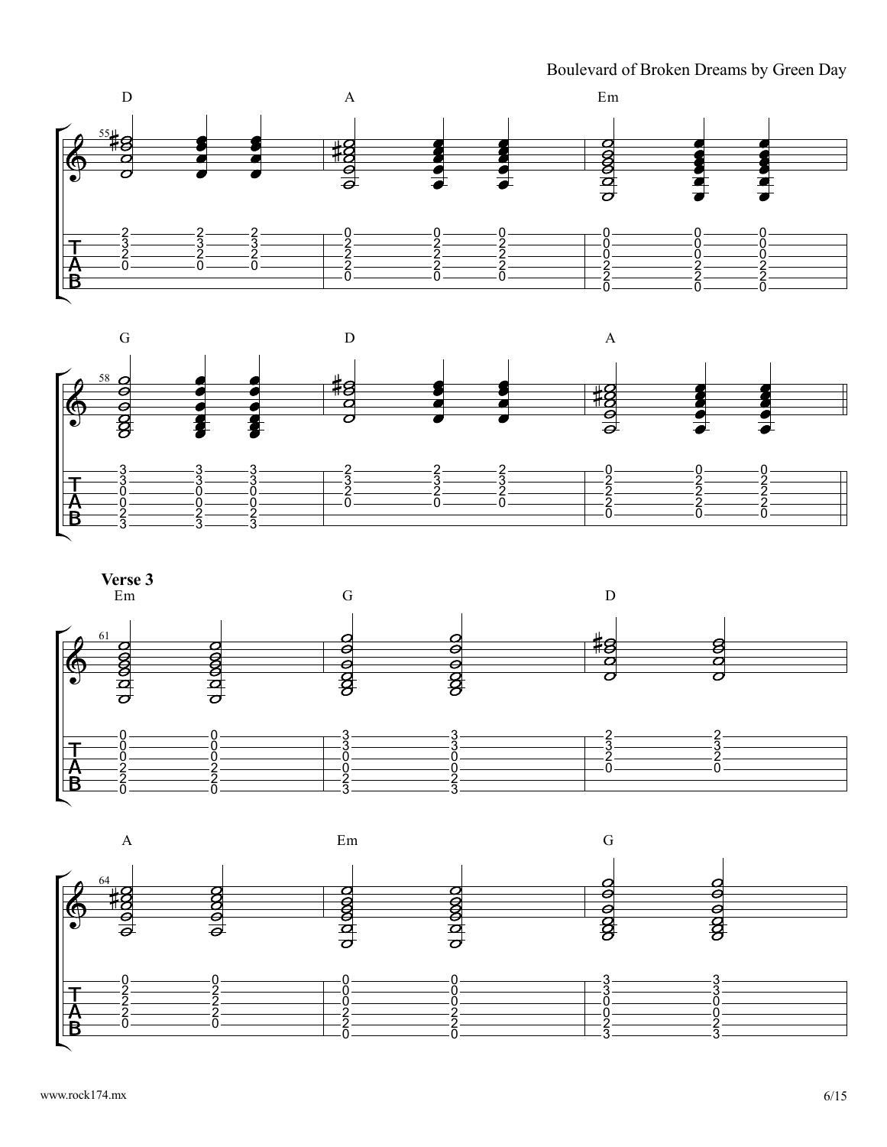





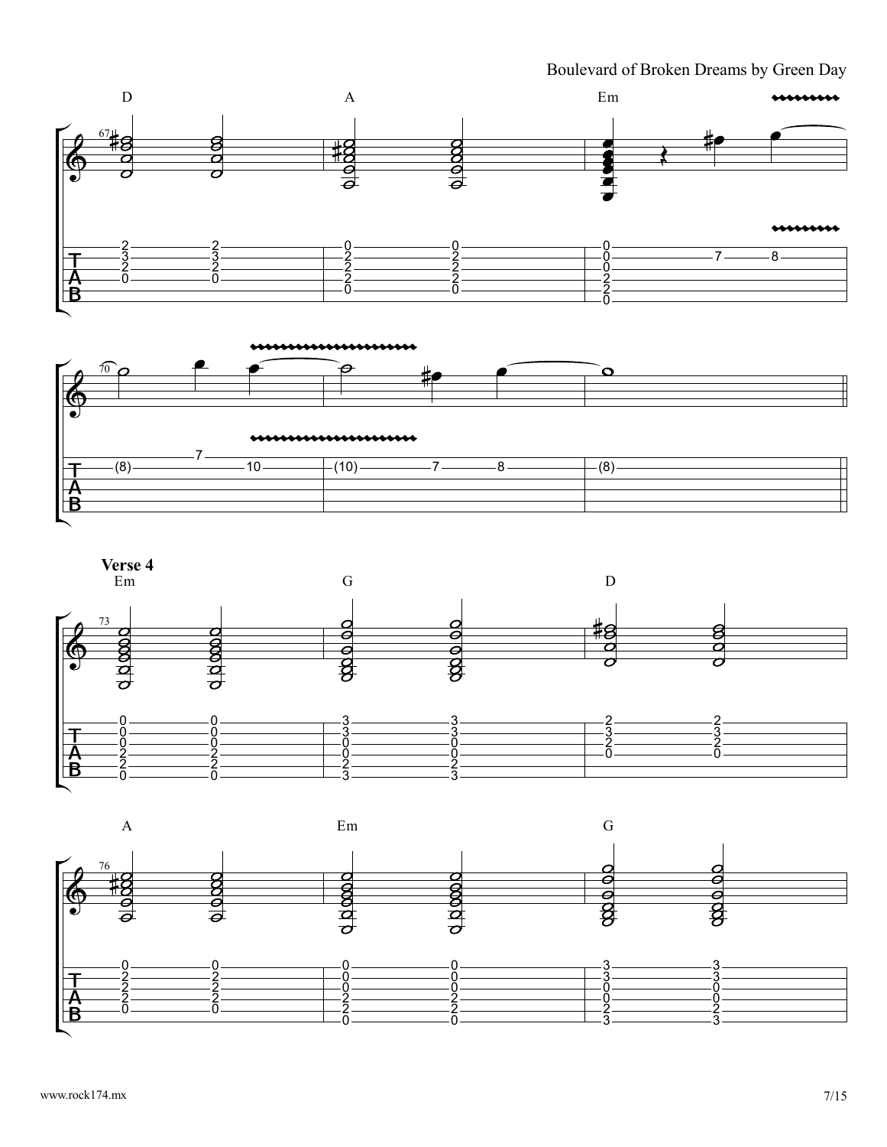





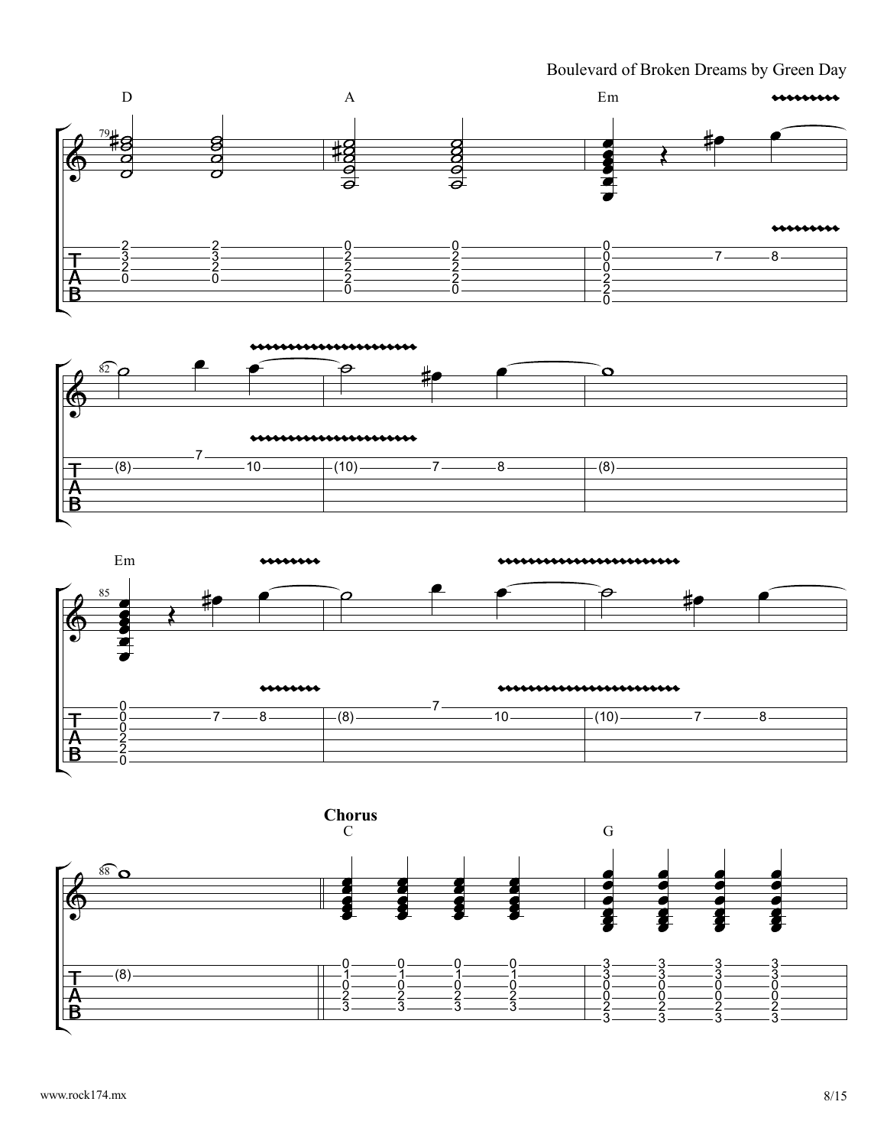







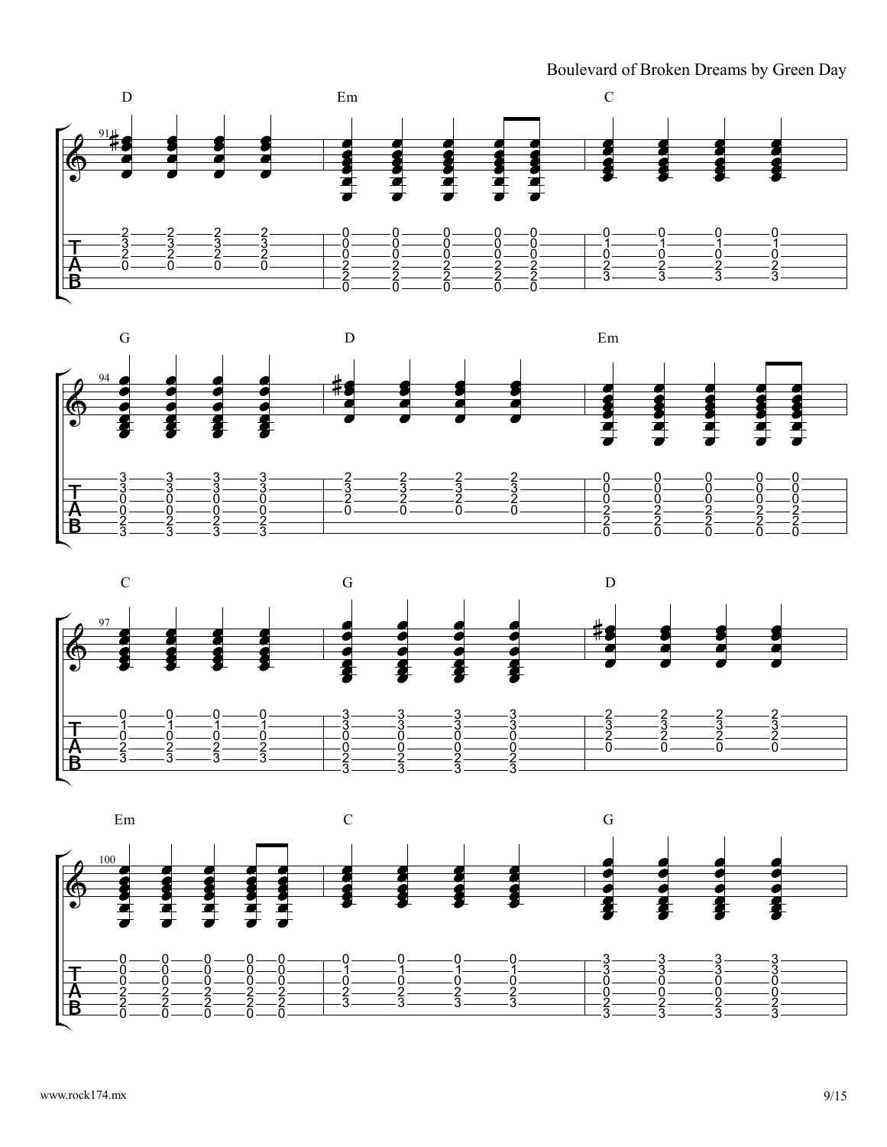





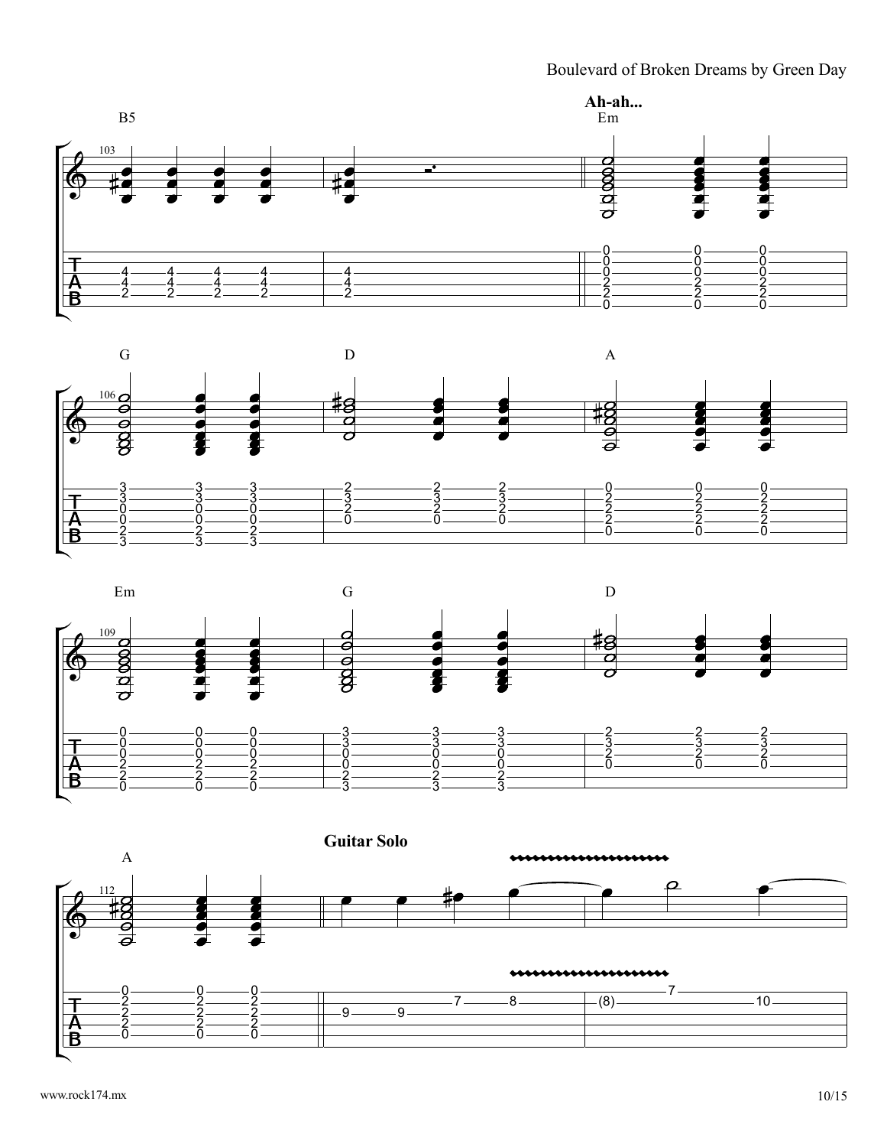





Guitar Solo

A  $\mathbf{c}$  $\frac{112}{12}$ € G  $\overline{\mathbf{e}}$  $\overline{\phantom{a}}$ \*\*\*\*\*\*\*\*\*\*\*\*\*\*\*\*\*\*\*\*\*\*  $\stackrel{\circ}{\circ}$   $\stackrel{\circ}{\circ}$   $\stackrel{\circ}{\circ}$  $\stackrel{\circ}{\circ}$   $\stackrel{\circ}{\circ}$  $\frac{1}{2}$  10 $\frac{2}{2}$   $\frac{1}{2}$   $\frac{9}{2}$  $-9$   $-7$   $-8$ <u>ž — ž —</u> <u>ž</u>——<u>ž</u>——  $\frac{5}{2}$   $\longrightarrow$  $-$  8  $-$  (8)  $\frac{1}{2}$   $\frac{1}{2}$   $\frac{1}{2}$   $\frac{1}{2}$   $\frac{1}{2}$   $\frac{1}{2}$   $\frac{1}{2}$   $\frac{1}{2}$   $\frac{1}{2}$   $\frac{1}{2}$   $\frac{1}{2}$   $\frac{1}{2}$   $\frac{1}{2}$   $\frac{1}{2}$   $\frac{1}{2}$   $\frac{1}{2}$   $\frac{1}{2}$   $\frac{1}{2}$   $\frac{1}{2}$   $\frac{1}{2}$   $\frac{1}{2}$   $\frac{1}{2}$   $\overline{\texttt{0}}$  and  $\overline{\texttt{0}}$ 

uuuuu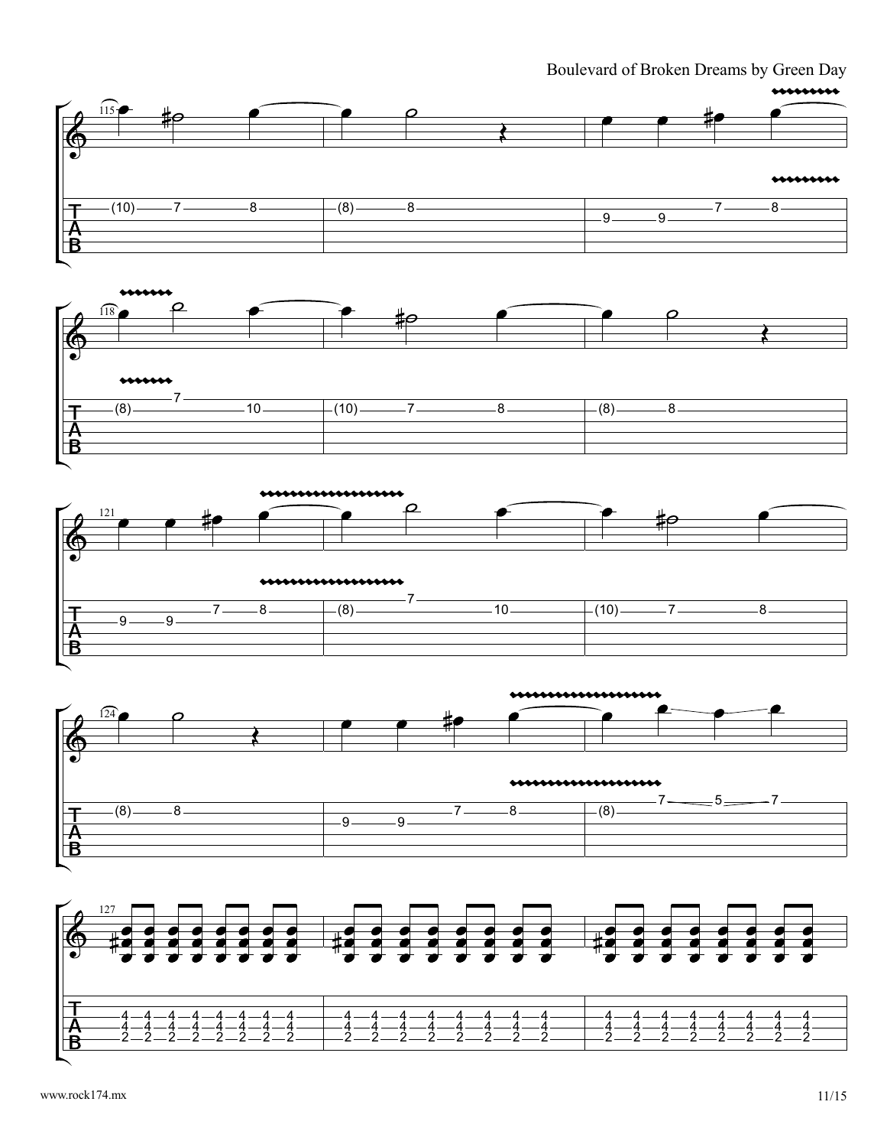







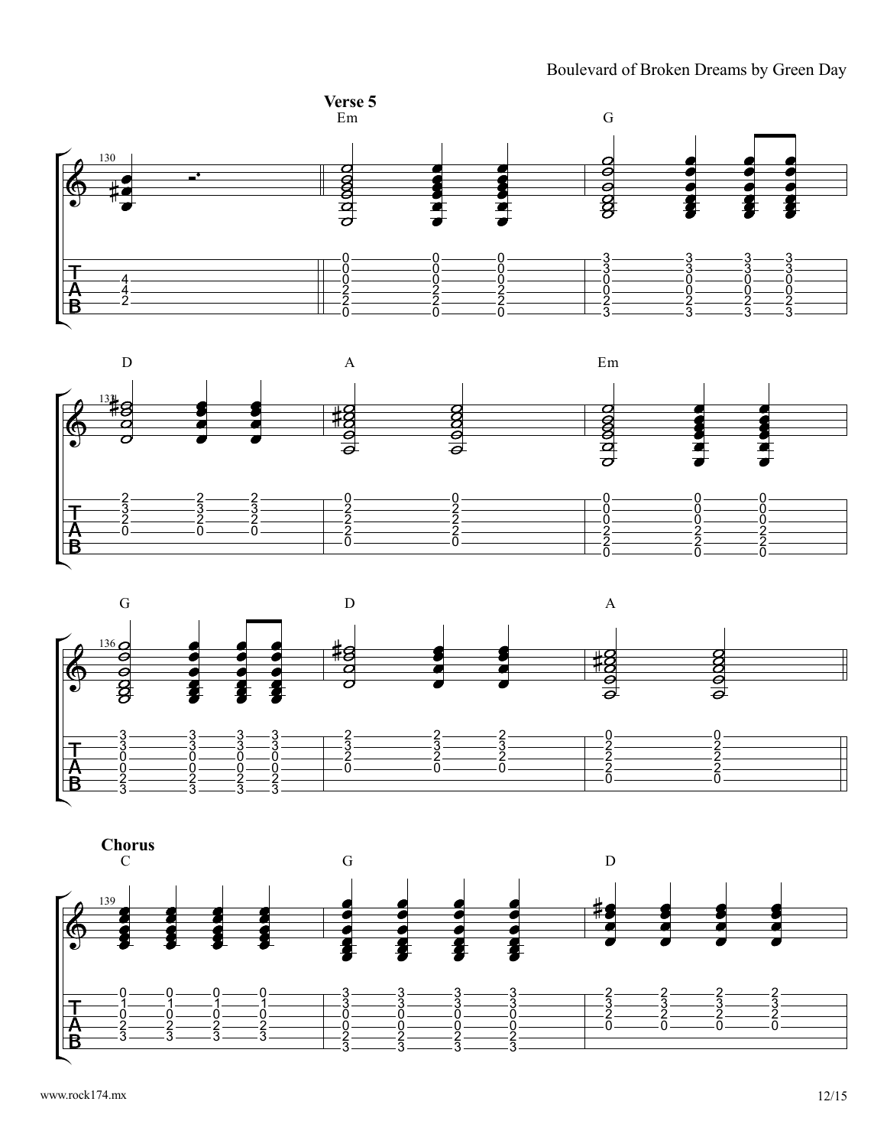





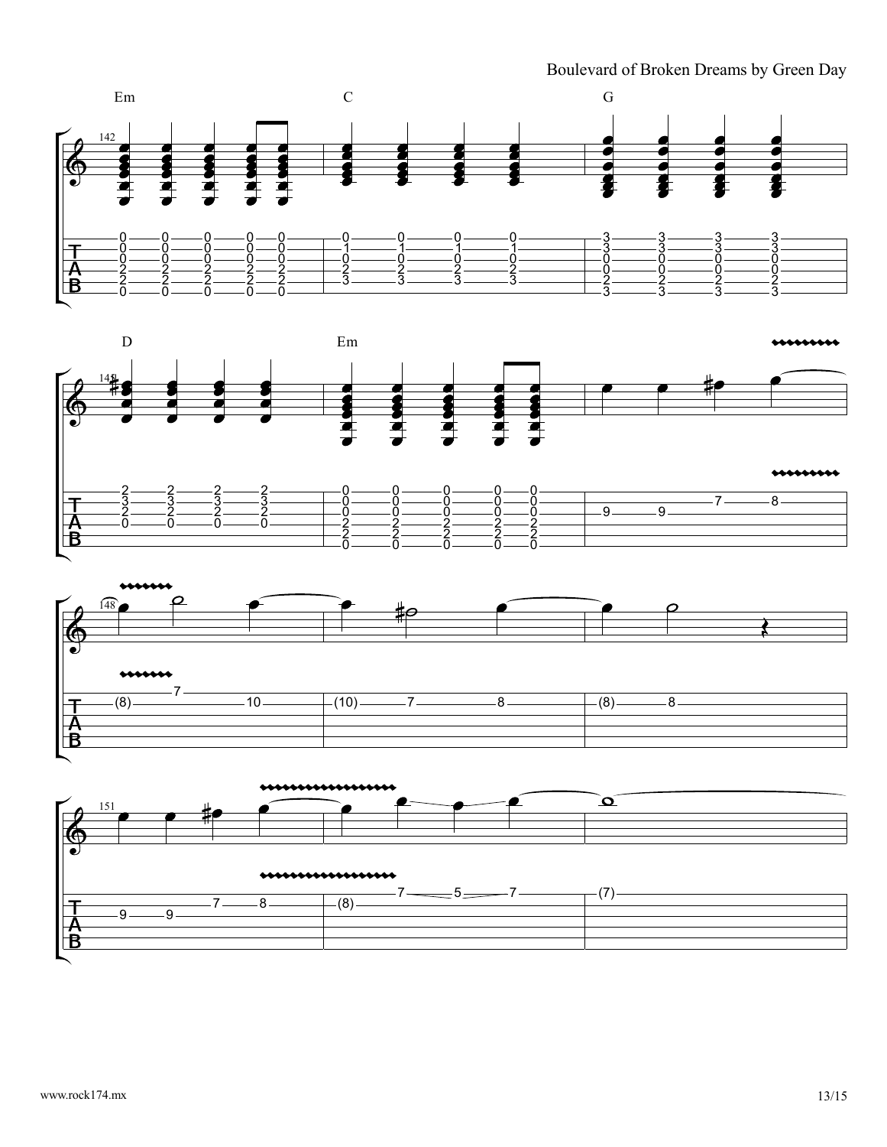





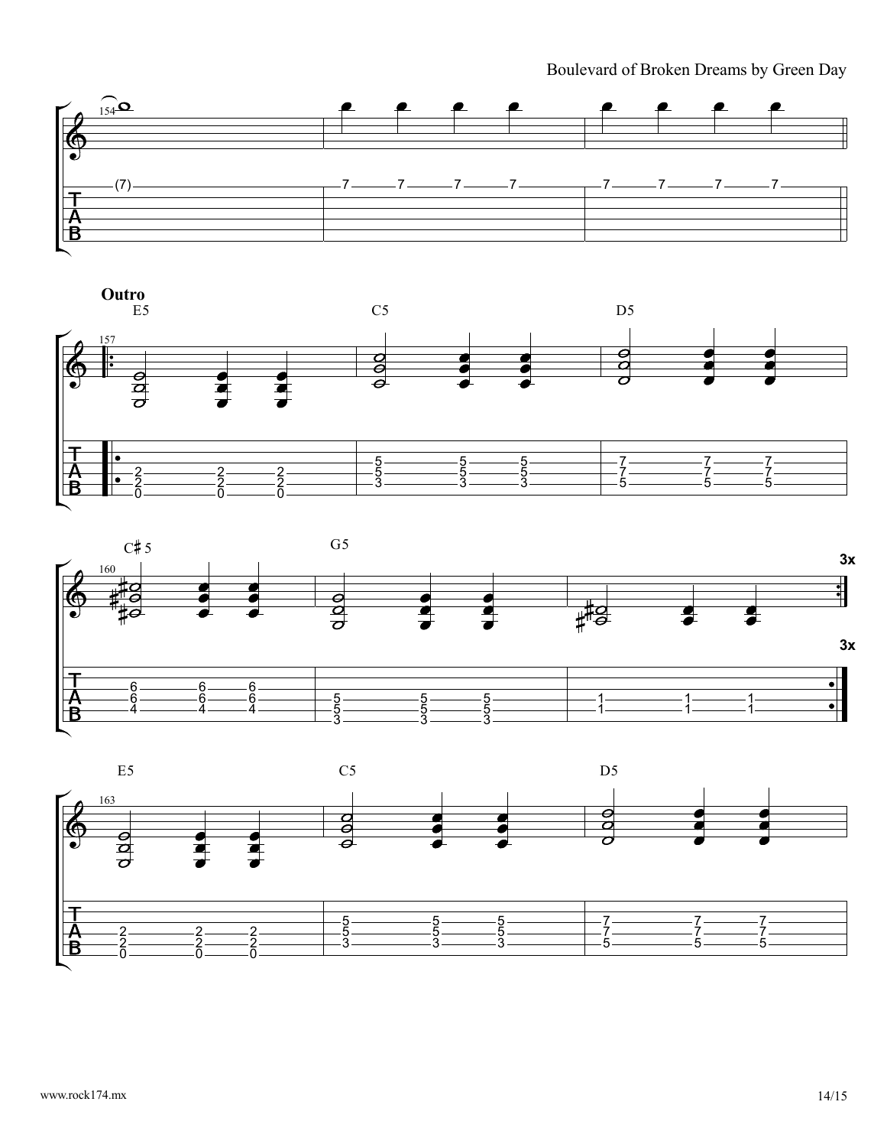